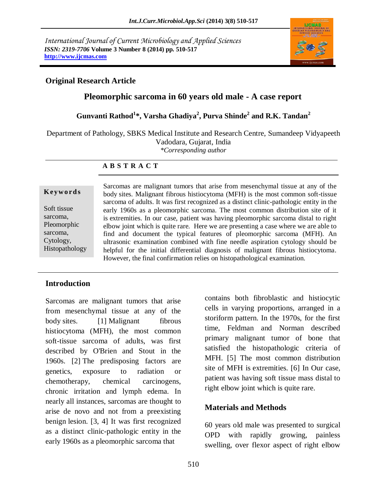*International Journal of Current Microbiology and Applied Sciences ISSN: 2319-7706* **Volume 3 Number 8 (2014) pp. 510-517 http://www.ijcmas.com**



#### **Original Research Article**

# **Pleomorphic sarcoma in 60 years old male - A case report**

**Gunvanti Rathod<sup>1</sup> \*, Varsha Ghadiya<sup>2</sup> , Purva Shinde<sup>2</sup> and R.K. Tandan<sup>2</sup>**

Department of Pathology, SBKS Medical Institute and Research Centre, Sumandeep Vidyapeeth Vadodara, Gujarat, India

*\*Corresponding author* 

#### **A B S T R A C T**

#### **K ey w o rd s**

Soft tissue sarcoma, Pleomorphic sarcoma, Cytology, Histopathology Sarcomas are malignant tumors that arise from mesenchymal tissue at any of the body sites. Malignant fibrous histiocytoma (MFH) is the most common soft-tissue sarcoma of adults. It was first recognized as a distinct clinic-pathologic entity in the early 1960s as a pleomorphic sarcoma. The most common distribution site of it is extremities. In our case, patient was having pleomorphic sarcoma distal to right elbow joint which is quite rare. Here we are presenting a case where we are able to find and document the typical features of pleomorphic sarcoma (MFH). An ultrasonic examination combined with fine needle aspiration cytology should be helpful for the initial differential diagnosis of malignant fibrous histiocytoma. However, the final confirmation relies on histopathological examination.

#### **Introduction**

Sarcomas are malignant tumors that arise from mesenchymal tissue at any of the body sites. [1] Malignant fibrous histiocytoma (MFH), the most common soft-tissue sarcoma of adults, was first described by O'Brien and Stout in the 1960s. [2] The predisposing factors are genetics, exposure to radiation or chemotherapy, chemical carcinogens, chronic irritation and lymph edema. In nearly all instances, sarcomas are thought to arise de novo and not from a preexisting benign lesion. [3, 4] It was first recognized as a distinct clinic-pathologic entity in the early 1960s as a pleomorphic sarcoma that

contains both fibroblastic and histiocytic cells in varying proportions, arranged in a storiform pattern. In the 1970s, for the first time, Feldman and Norman described primary malignant tumor of bone that satisfied the histopathologic criteria of MFH. [5] The most common distribution site of MFH is extremities. [6] In Our case, patient was having soft tissue mass distal to right elbow joint which is quite rare.

# **Materials and Methods**

60 years old male was presented to surgical OPD with rapidly growing, painless swelling, over flexor aspect of right elbow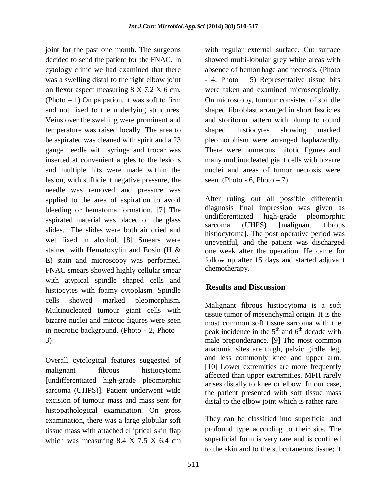joint for the past one month. The surgeons decided to send the patient for the FNAC. In cytology clinic we had examined that there was a swelling distal to the right elbow joint on flexor aspect measuring 8 X 7.2 X 6 cm. (Photo  $-1$ ) On palpation, it was soft to firm and not fixed to the underlying structures. Veins over the swelling were prominent and temperature was raised locally. The area to be aspirated was cleaned with spirit and a 23 gauge needle with syringe and trocar was inserted at convenient angles to the lesions and multiple hits were made within the lesion, with sufficient negative pressure, the needle was removed and pressure was applied to the area of aspiration to avoid bleeding or hematoma formation. [7] The aspirated material was placed on the glass slides. The slides were both air dried and wet fixed in alcohol. [8] Smears were stained with Hematoxylin and Eosin (H & E) stain and microscopy was performed. FNAC smears showed highly cellular smear with atypical spindle shaped cells and histiocytes with foamy cytoplasm. Spindle cells showed marked pleomorphism. Multinucleated tumour giant cells with bizarre nuclei and mitotic figures were seen in necrotic background. (Photo - 2, Photo – 3)

Overall cytological features suggested of malignant fibrous histiocytoma [undifferentiated high-grade pleomorphic sarcoma (UHPS)]. Patient underwent wide excision of tumour mass and mass sent for histopathological examination. On gross examination, there was a large globular soft tissue mass with attached elliptical skin flap which was measuring 8.4 X 7.5 X 6.4 cm

with regular external surface. Cut surface showed multi-lobular grey white areas with absence of hemorrhage and necrosis. (Photo - 4, Photo – 5) Representative tissue bits were taken and examined microscopically. On microscopy, tumour consisted of spindle shaped fibroblast arranged in short fascicles and storiform pattern with plump to round shaped histiocytes showing marked pleomorphism were arranged haphazardly. There were numerous mitotic figures and many multinucleated giant cells with bizarre nuclei and areas of tumor necrosis were seen. (Photo - 6, Photo  $-7$ )

After ruling out all possible differential diagnosis final impression was given as undifferentiated high-grade pleomorphic sarcoma (UHPS) [malignant fibrous histiocytoma]. The post operative period was uneventful, and the patient was discharged one week after the operation. He came for follow up after 15 days and started adjuvant chemotherapy.

# **Results and Discussion**

Malignant fibrous histiocytoma is a soft tissue tumor of mesenchymal origin. It is the most common soft tissue sarcoma with the peak incidence in the  $5<sup>th</sup>$  and  $6<sup>th</sup>$  decade with male preponderance. [9] The most common anatomic sites are thigh, pelvic girdle, leg, and less commonly knee and upper arm. [10] Lower extremities are more frequently affected than upper extremities. MFH rarely arises distally to knee or elbow. In our case, the patient presented with soft tissue mass distal to the elbow joint which is rather rare.

They can be classified into superficial and profound type according to their site. The superficial form is very rare and is confined to the skin and to the subcutaneous tissue; it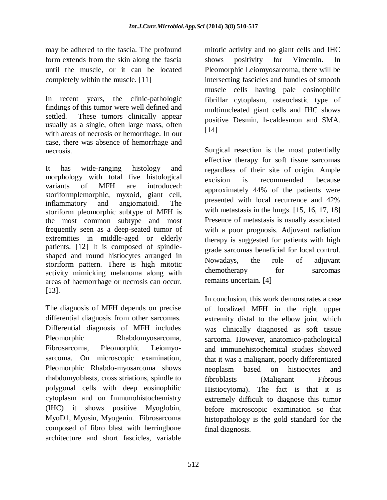may be adhered to the fascia. The profound form extends from the skin along the fascia until the muscle, or it can be located completely within the muscle. [11]

In recent years, the clinic-pathologic findings of this tumor were well defined and settled. These tumors clinically appear usually as a single, often large mass, often with areas of necrosis or hemorrhage. In our case, there was absence of hemorrhage and necrosis.

It has wide-ranging histology and morphology with total five histological variants of MFH are introduced: storiformplemorphic, myxoid, giant cell, inflammatory and angiomatoid. The storiform pleomorphic subtype of MFH is the most common subtype and most frequently seen as a deep-seated tumor of extremities in middle-aged or elderly patients. [12] It is composed of spindleshaped and round histiocytes arranged in storiform pattern. There is high mitotic activity mimicking melanoma along with areas of haemorrhage or necrosis can occur. [13].

The diagnosis of MFH depends on precise differential diagnosis from other sarcomas. Differential diagnosis of MFH includes Pleomorphic Rhabdomyosarcoma, Fibrosarcoma, Pleomorphic Leiomyosarcoma. On microscopic examination, Pleomorphic Rhabdo-myosarcoma shows rhabdomyoblasts, cross striations, spindle to polygonal cells with deep eosinophilic cytoplasm and on Immunohistochemistry (IHC) it shows positive Myoglobin, MyoD1, Myosin, Myogenin. Fibrosarcoma composed of fibro blast with herringbone architecture and short fascicles, variable

mitotic activity and no giant cells and IHC shows positivity for Vimentin. In Pleomorphic Leiomyosarcoma, there will be intersecting fascicles and bundles of smooth muscle cells having pale eosinophilic fibrillar cytoplasm, osteoclastic type of multinucleated giant cells and IHC shows positive Desmin, h-caldesmon and SMA. [14]

Surgical resection is the most potentially effective therapy for soft tissue sarcomas regardless of their site of origin. Ample excision is recommended because approximately 44% of the patients were presented with local recurrence and 42% with metastasis in the lungs. [15, 16, 17, 18] Presence of metastasis is usually associated with a poor prognosis. Adjuvant radiation therapy is suggested for patients with high grade sarcomas beneficial for local control. Nowadays, the role of adjuvant chemotherapy for sarcomas remains uncertain. [4]

In conclusion, this work demonstrates a case of localized MFH in the right upper extremity distal to the elbow joint which was clinically diagnosed as soft tissue sarcoma. However, anatomico-pathological and immunehistochemical studies showed that it was a malignant, poorly differentiated neoplasm based on histiocytes and fibroblasts (Malignant Fibrous Histiocytoma). The fact is that it is extremely difficult to diagnose this tumor before microscopic examination so that histopathology is the gold standard for the final diagnosis.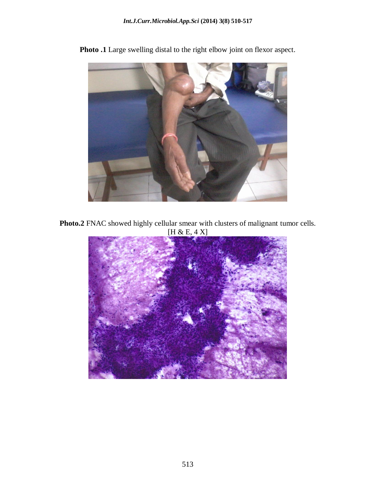

**Photo .1** Large swelling distal to the right elbow joint on flexor aspect.

**Photo.2** FNAC showed highly cellular smear with clusters of malignant tumor cells. [H & E, 4 X]

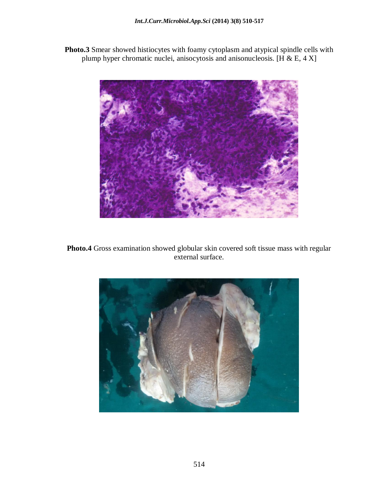**Photo.3** Smear showed histiocytes with foamy cytoplasm and atypical spindle cells with plump hyper chromatic nuclei, anisocytosis and anisonucleosis. [H & E, 4 X]



**Photo.4** Gross examination showed globular skin covered soft tissue mass with regular external surface.

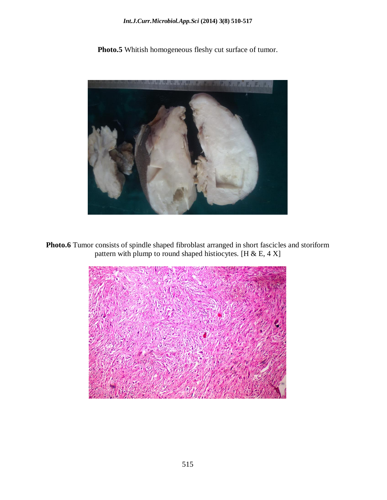#### *Int.J.Curr.Microbiol.App.Sci* **(2014) 3(8) 510-517**

Photo.5 Whitish homogeneous fleshy cut surface of tumor.



**Photo.6** Tumor consists of spindle shaped fibroblast arranged in short fascicles and storiform pattern with plump to round shaped histiocytes. [H & E, 4 X]

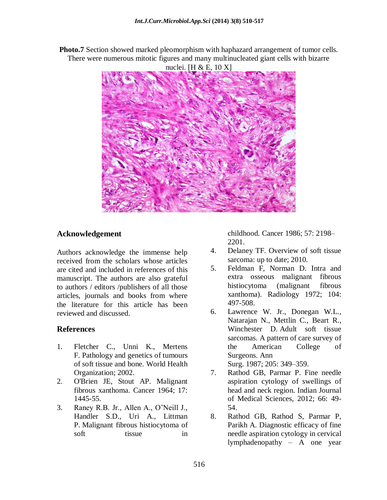**Photo.7** Section showed marked pleomorphism with haphazard arrangement of tumor cells. There were numerous mitotic figures and many multinucleated giant cells with bizarre nuclei. [H & E, 10 X]



# **Acknowledgement**

Authors acknowledge the immense help received from the scholars whose articles are cited and included in references of this manuscript. The authors are also grateful to authors / editors /publishers of all those articles, journals and books from where the literature for this article has been reviewed and discussed.

# **References**

- 1. Fletcher C., Unni K., Mertens F. Pathology and genetics of tumours of soft tissue and bone. World Health Organization; 2002.
- 2. O'Brien JE, Stout AP. Malignant fibrous xanthoma. Cancer 1964; 17: 1445-55.
- 3. Raney R.B. Jr., Allen A., O'Neill J., Handler S.D., Uri A., Littman P. Malignant fibrous histiocytoma of soft tissue in

childhood. Cancer 1986; 57: 2198– 2201.

- 4. Delaney TF. Overview of soft tissue sarcoma: up to date; 2010.
- 5. Feldman F, Norman D. Intra and extra osseous malignant fibrous histiocytoma (malignant fibrous xanthoma). Radiology 1972; 104: 497-508.
- 6. Lawrence W. Jr., Donegan W.L., Natarajan N., Mettlin C., Beart R., Winchester D. Adult soft tissue sarcomas. A pattern of care survey of the American College of Surgeons. Ann Surg. 1987; 205: 349–359.
- 7. Rathod GB, Parmar P. Fine needle aspiration cytology of swellings of head and neck region. Indian Journal of Medical Sciences, 2012; 66: 49- 54.
- 8. Rathod GB, Rathod S, Parmar P, Parikh A. Diagnostic efficacy of fine needle aspiration cytology in cervical lymphadenopathy – A one year